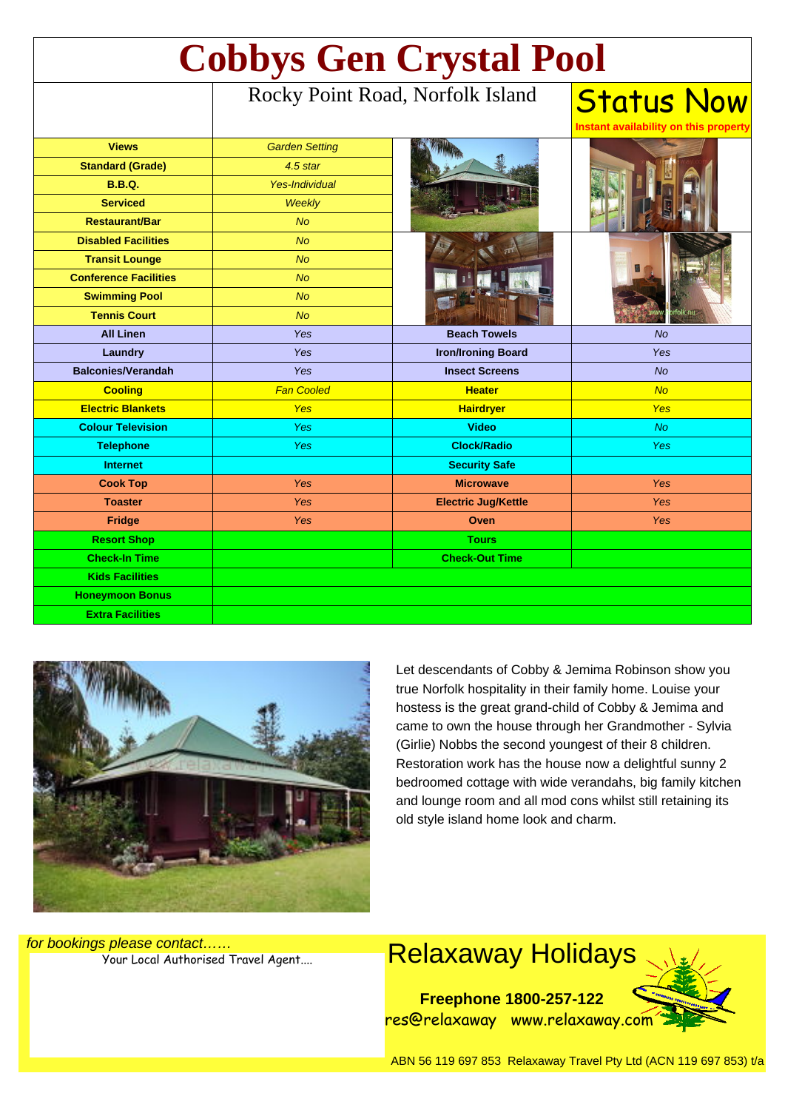| <b>Cobbys Gen Crystal Pool</b> |                                  |                            |                                                            |
|--------------------------------|----------------------------------|----------------------------|------------------------------------------------------------|
|                                | Rocky Point Road, Norfolk Island |                            | <b>Status Now</b><br>Instant availability on this property |
| <b>Views</b>                   | <b>Garden Setting</b>            |                            |                                                            |
| <b>Standard (Grade)</b>        | 4.5 star                         |                            |                                                            |
| <b>B.B.Q.</b>                  | <b>Yes-Individual</b>            |                            |                                                            |
| <b>Serviced</b>                | Weekly                           |                            |                                                            |
| <b>Restaurant/Bar</b>          | <b>No</b>                        |                            |                                                            |
| <b>Disabled Facilities</b>     | <b>No</b>                        |                            |                                                            |
| <b>Transit Lounge</b>          | No                               |                            |                                                            |
| <b>Conference Facilities</b>   | <b>No</b>                        |                            |                                                            |
| <b>Swimming Pool</b>           | <b>No</b>                        |                            |                                                            |
| <b>Tennis Court</b>            | <b>No</b>                        |                            | rfolk.nu                                                   |
| <b>All Linen</b>               | Yes                              | <b>Beach Towels</b>        | <b>No</b>                                                  |
| Laundry                        | Yes                              | <b>Iron/Ironing Board</b>  | Yes                                                        |
| <b>Balconies/Verandah</b>      | <b>Yes</b>                       | <b>Insect Screens</b>      | <b>No</b>                                                  |
| <b>Cooling</b>                 | <b>Fan Cooled</b>                | <b>Heater</b>              | <b>No</b>                                                  |
| <b>Electric Blankets</b>       | Yes                              | <b>Hairdryer</b>           | <b>Yes</b>                                                 |
| <b>Colour Television</b>       | Yes                              | <b>Video</b>               | <b>No</b>                                                  |
| <b>Telephone</b>               | Yes                              | <b>Clock/Radio</b>         | <b>Yes</b>                                                 |
| <b>Internet</b>                |                                  | <b>Security Safe</b>       |                                                            |
| <b>Cook Top</b>                | Yes                              | <b>Microwave</b>           | <b>Yes</b>                                                 |
| <b>Toaster</b>                 | Yes                              | <b>Electric Jug/Kettle</b> | <b>Yes</b>                                                 |
| <b>Fridge</b>                  | Yes                              | Oven                       | Yes                                                        |
| <b>Resort Shop</b>             |                                  | <b>Tours</b>               |                                                            |
| <b>Check-In Time</b>           |                                  | <b>Check-Out Time</b>      |                                                            |
| <b>Kids Facilities</b>         |                                  |                            |                                                            |
| <b>Honeymoon Bonus</b>         |                                  |                            |                                                            |
| <b>Extra Facilities</b>        |                                  |                            |                                                            |



Let descendants of Cobby & Jemima Robinson show you true Norfolk hospitality in their family home. Louise your hostess is the great grand-child of Cobby & Jemima and came to own the house through her Grandmother - Sylvia (Girlie) Nobbs the second youngest of their 8 children. Restoration work has the house now a delightful sunny 2 bedroomed cottage with wide verandahs, big family kitchen and lounge room and all mod cons whilst still retaining its old style island home look and charm.

for bookings please contact……